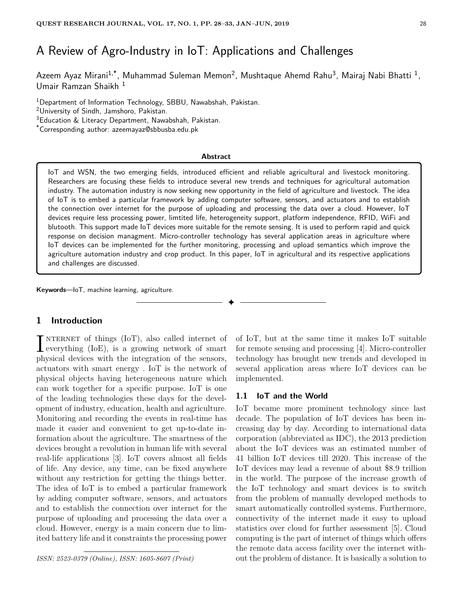# A Review of Agro-Industry in IoT: Applications and Challenges

Azeem Ayaz Mirani<sup>1,\*</sup>, Muhammad Suleman Memon<sup>2</sup>, Mushtaque Ahemd Rahu<sup>3</sup>, Mairaj Nabi Bhatti <sup>1</sup>, Umair Ramzan Shaikh <sup>1</sup>

<sup>1</sup>Department of Information Technology, SBBU, Nawabshah, Pakistan.

<sup>3</sup>Education & Literacy Department, Nawabshah, Pakistan.

\*Corresponding author: azeemayaz@sbbusba.edu.pk

#### **Abstract**

IoT and WSN, the two emerging fields, introduced efficient and reliable agricultural and livestock monitoring. Researchers are focusing these fields to introduce several new trends and techniques for agricultural automation industry. The automation industry is now seeking new opportunity in the field of agriculture and livestock. The idea of IoT is to embed a particular framework by adding computer software, sensors, and actuators and to establish the connection over internet for the purpose of uploading and processing the data over a cloud. However, IoT devices require less processing power, limtited life, heterogeneity support, platform independence, RFID, WiFi and blutooth. This support made IoT devices more suitable for the remote sensing. It is used to perform rapid and quick response on decision managment. Micro-controller technology has several application areas in agriculture where IoT devices can be implemented for the further monitoring, processing and upload semantics which improve the agriculture automation industry and crop product. In this paper, IoT in agricultural and its respective applications and challenges are discussed.

✦

**Keywords**—IoT, machine learning, agriculture.

# **1 Introduction**

**I** NTERNET of things (IoT), also called internet of everything (IoE), is a growing network of smart **T** NTERNET of things  $(IoT)$ , also called internet of physical devices with the integration of the sensors, actuators with smart energy . IoT is the network of physical objects having heterogeneous nature which can work together for a specific purpose. IoT is one of the leading technologies these days for the development of industry, education, health and agriculture. Monitoring and recording the events in real-time has made it easier and convenient to get up-to-date information about the agriculture. The smartness of the devices brought a revolution in human life with several real-life applications [3]. IoT covers almost all fields of life. Any device, any time, can be fixed anywhere without any restriction for getting the things better. The idea of IoT is to embed a particular framework by adding computer software, sensors, and actuators and to establish the connection over internet for the purpose of uploading and processing the data over a cloud. However, energy is a main concern due to limited battery life and it constraints the processing power

*ISSN: 2523-0379 (Online), ISSN: 1605-8607 (Print)*

of IoT, but at the same time it makes IoT suitable for remote sensing and processing [4]. Micro-controller technology has brought new trends and developed in several application areas where IoT devices can be implemented.

#### **1.1 IoT and the World**

IoT became more prominent technology since last decade. The population of IoT devices has been increasing day by day. According to international data corporation (abbreviated as IDC), the 2013 prediction about the IoT devices was an estimated number of 41 billion IoT devices till 2020. This increase of the IoT devices may lead a revenue of about \$8.9 trillion in the world. The purpose of the increase growth of the IoT technology and smart devices is to switch from the problem of manually developed methods to smart automatically controlled systems. Furthermore, connectivity of the internet made it easy to upload statistics over cloud for further assessment [5]. Cloud computing is the part of internet of things which offers the remote data access facility over the internet without the problem of distance. It is basically a solution to

<sup>2</sup>University of Sindh, Jamshoro, Pakistan.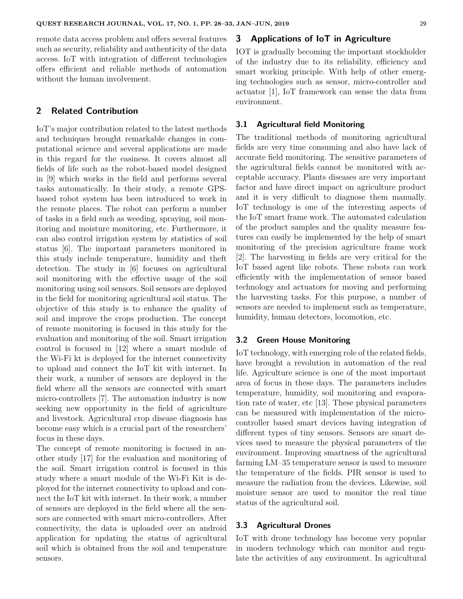remote data access problem and offers several features such as security, reliability and authenticity of the data access. IoT with integration of different technologies offers efficient and reliable methods of automation without the human involvement.

## **2 Related Contribution**

IoT's major contribution related to the latest methods and techniques brought remarkable changes in computational science and several applications are made in this regard for the easiness. It covers almost all fields of life such as the robot-based model designed in [9] which works in the field and performs several tasks automatically. In their study, a remote GPSbased robot system has been introduced to work in the remote places. The robot can perform a number of tasks in a field such as weeding, spraying, soil monitoring and moisture monitoring, etc. Furthermore, it can also control irrigation system by statistics of soil status [6]. The important parameters monitored in this study include temperature, humidity and theft detection. The study in [6] focuses on agricultural soil monitoring with the effective usage of the soil monitoring using soil sensors. Soil sensors are deployed in the field for monitoring agricultural soil status. The objective of this study is to enhance the quality of soil and improve the crops production. The concept of remote monitoring is focused in this study for the evaluation and monitoring of the soil. Smart irrigation control is focused in [12] where a smart module of the Wi-Fi kt is deployed for the internet connectivity to upload and connect the IoT kit with internet. In their work, a number of sensors are deployed in the field where all the sensors are connected with smart micro-controllers [7]. The automation industry is now seeking new opportunity in the field of agriculture and livestock. Agricultural crop disease diagnosis has become easy which is a crucial part of the researchers' focus in these days.

The concept of remote monitoring is focused in another study [17] for the evaluation and monitoring of the soil. Smart irrigation control is focused in this study where a smart module of the Wi-Fi Kit is deployed for the internet connectivity to upload and connect the IoT kit with internet. In their work, a number of sensors are deployed in the field where all the sensors are connected with smart micro-controllers. After connectivity, the data is uploaded over an android application for updating the status of agricultural soil which is obtained from the soil and temperature sensors.

# **3 Applications of IoT in Agriculture**

IOT is gradually becoming the important stockholder of the industry due to its reliability, efficiency and smart working principle. With help of other emerging technologies such as sensor, micro-controller and actuator [1], IoT framework can sense the data from environment.

#### **3.1 Agricultural field Monitoring**

The traditional methods of monitoring agricultural fields are very time consuming and also have lack of accurate field monitoring. The sensitive parameters of the agricultural fields cannot be monitored with acceptable accuracy. Plants diseases are very important factor and have direct impact on agriculture product and it is very difficult to diagnose them manually. IoT technology is one of the interesting aspects of the IoT smart frame work. The automated calculation of the product samples and the quality measure features can easily be implemented by the help of smart monitoring of the precision agriculture frame work [2]. The harvesting in fields are very critical for the IoT based agent like robots. These robots can work efficiently with the implementation of sensor based technology and actuators for moving and performing the harvesting tasks. For this purpose, a number of sensors are needed to implement such as temperature, humidity, human detectors, locomotion, etc.

#### **3.2 Green House Monitoring**

IoT technology, with emerging role of the related fields, have brought a revolution in automation of the real life. Agriculture science is one of the most important area of focus in these days. The parameters includes temperature, humidity, soil monitoring and evaporation rate of water, etc [13]. These physical parameters can be measured with implementation of the microcontroller based smart devices having integration of different types of tiny sensors. Sensors are smart devices used to measure the physical parameters of the environment. Improving smartness of the agricultural farming LM–35 temperature sensor is used to measure the temperature of the fields. PIR sensor is used to measure the radiation from the devices. Likewise, soil moisture sensor are used to monitor the real time status of the agricultural soil.

#### **3.3 Agricultural Drones**

IoT with drone technology has become very popular in modern technology which can monitor and regulate the activities of any environment. In agricultural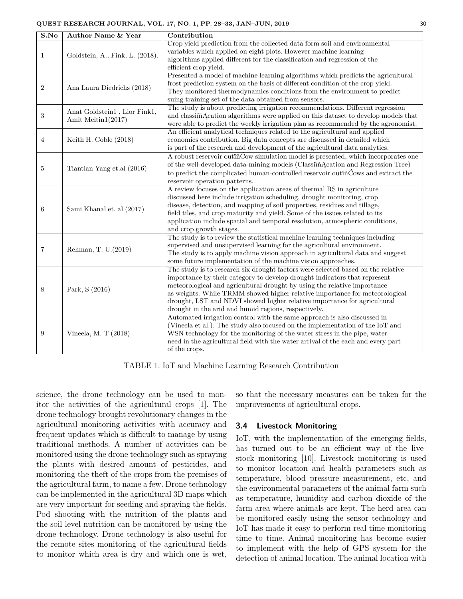| S.No           | <b>Author Name &amp; Year</b>                      | Contribution                                                                       |  |
|----------------|----------------------------------------------------|------------------------------------------------------------------------------------|--|
| $\mathbf{1}$   | Goldstein, A., Fink, L. (2018).                    | Crop yield prediction from the collected data form soil and environmental          |  |
|                |                                                    | variables which applied on eight plots. However machine learning                   |  |
|                |                                                    | algorithms applied different for the classification and regression of the          |  |
|                |                                                    | efficient crop yield.                                                              |  |
| $\overline{2}$ | Ana Laura Diedrichs (2018)                         | Presented a model of machine learning algorithms which predicts the agricultural   |  |
|                |                                                    | frost prediction system on the basis of different condition of the crop yield.     |  |
|                |                                                    | They monitored thermodynamics conditions from the environment to predict           |  |
|                |                                                    | suing training set of the data obtained from sensors.                              |  |
| 3              | Anat Goldstein1, Lior Fink1,<br>Amit Meitin1(2017) | The study is about predicting irrigation recommendations. Different regression     |  |
|                |                                                    | and classiinAcation algorithms were applied on this dataset to develop models that |  |
|                |                                                    | were able to predict the weekly irrigation plan as recommended by the agronomist.  |  |
| $\overline{4}$ | Keith H. Coble (2018)                              | An efficient analytical techniques related to the agricultural and applied         |  |
|                |                                                    | economics contribution. Big data concepts are discussed in detailed which          |  |
|                |                                                    | is part of the research and development of the agricultural data analytics.        |  |
| 5              | Tiantian Yang et.al (2016)                         | A robust reservoir outin Cow simulation model is presented, which incorporates one |  |
|                |                                                    | of the well-developed data-mining models (ClassiinAcation and Regression Tree)     |  |
|                |                                                    | to predict the complicated human-controlled reservoir outin Cows and extract the   |  |
|                |                                                    | reservoir operation patterns.                                                      |  |
| 6              | Sami Khanal et. al (2017)                          | A review focuses on the application areas of thermal RS in agriculture             |  |
|                |                                                    | discussed here include irrigation scheduling, drought monitoring, crop             |  |
|                |                                                    | disease, detection, and mapping of soil properties, residues and tillage,          |  |
|                |                                                    | field tiles, and crop maturity and yield. Some of the issues related to its        |  |
|                |                                                    | application include spatial and temporal resolution, atmospheric conditions,       |  |
|                |                                                    | and crop growth stages.                                                            |  |
| $\overline{7}$ | Rehman, T. U.(2019)                                | The study is to review the statistical machine learning techniques including       |  |
|                |                                                    | supervised and unsupervised learning for the agricultural environment.             |  |
|                |                                                    | The study is to apply machine vision approach in agricultural data and suggest     |  |
|                |                                                    | some future implementation of the machine vision approaches.                       |  |
|                | Park, S (2016)                                     | The study is to research six drought factors were selected based on the relative   |  |
| 8              |                                                    | importance by their category to develop drought indicators that represent          |  |
|                |                                                    | meteorological and agricultural drought by using the relative importance           |  |
|                |                                                    | as weights. While TRMM showed higher relative importance for meteorological        |  |
|                |                                                    | drought, LST and NDVI showed higher relative importance for agricultural           |  |
|                |                                                    | drought in the arid and humid regions, respectively.                               |  |
| 9              | Vineela, M. T (2018)                               | Automated irrigation control with the same approach is also discussed in           |  |
|                |                                                    | (Vineela et al.). The study also focused on the implementation of the IoT and      |  |
|                |                                                    | WSN technology for the monitoring of the water stress in the pipe, water           |  |
|                |                                                    | need in the agricultural field with the water arrival of the each and every part   |  |
|                |                                                    | of the crops.                                                                      |  |

TABLE 1: IoT and Machine Learning Research Contribution

science, the drone technology can be used to monitor the activities of the agricultural crops [1]. The drone technology brought revolutionary changes in the agricultural monitoring activities with accuracy and frequent updates which is difficult to manage by using traditional methods. A number of activities can be monitored using the drone technology such as spraying the plants with desired amount of pesticides, and monitoring the theft of the crops from the premises of the agricultural farm, to name a few. Drone technology can be implemented in the agricultural 3D maps which are very important for seeding and spraying the fields. Pod shooting with the nutrition of the plants and the soil level nutrition can be monitored by using the drone technology. Drone technology is also useful for the remote sites monitoring of the agricultural fields to monitor which area is dry and which one is wet, so that the necessary measures can be taken for the improvements of agricultural crops.

#### **3.4 Livestock Monitoring**

IoT, with the implementation of the emerging fields, has turned out to be an efficient way of the livestock monitoring [10]. Livestock monitoring is used to monitor location and health parameters such as temperature, blood pressure measurement, etc, and the environmental parameters of the animal farm such as temperature, humidity and carbon dioxide of the farm area where animals are kept. The herd area can be monitored easily using the sensor technology and IoT has made it easy to perform real time monitoring time to time. Animal monitoring has become easier to implement with the help of GPS system for the detection of animal location. The animal location with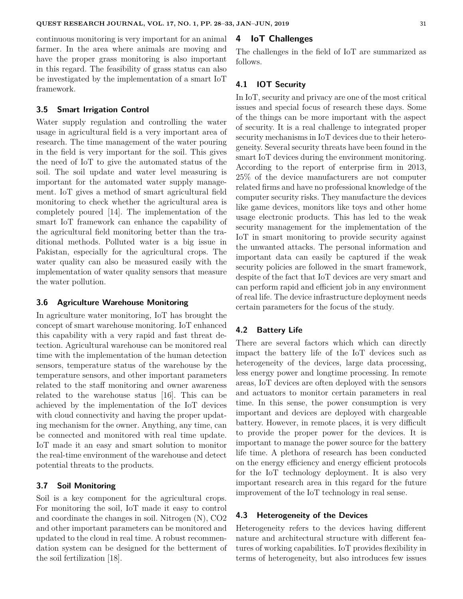continuous monitoring is very important for an animal farmer. In the area where animals are moving and have the proper grass monitoring is also important in this regard. The feasibility of grass status can also be investigated by the implementation of a smart IoT framework.

#### **3.5 Smart Irrigation Control**

Water supply regulation and controlling the water usage in agricultural field is a very important area of research. The time management of the water pouring in the field is very important for the soil. This gives the need of IoT to give the automated status of the soil. The soil update and water level measuring is important for the automated water supply management. IoT gives a method of smart agricultural field monitoring to check whether the agricultural area is completely poured [14]. The implementation of the smart IoT framework can enhance the capability of the agricultural field monitoring better than the traditional methods. Polluted water is a big issue in Pakistan, especially for the agricultural crops. The water quality can also be measured easily with the implementation of water quality sensors that measure the water pollution.

## **3.6 Agriculture Warehouse Monitoring**

In agriculture water monitoring, IoT has brought the concept of smart warehouse monitoring. IoT enhanced this capability with a very rapid and fast threat detection. Agricultural warehouse can be monitored real time with the implementation of the human detection sensors, temperature status of the warehouse by the temperature sensors, and other important parameters related to the staff monitoring and owner awareness related to the warehouse status [16]. This can be achieved by the implementation of the IoT devices with cloud connectivity and having the proper updating mechanism for the owner. Anything, any time, can be connected and monitored with real time update. IoT made it an easy and smart solution to monitor the real-time environment of the warehouse and detect potential threats to the products.

## **3.7 Soil Monitoring**

Soil is a key component for the agricultural crops. For monitoring the soil, IoT made it easy to control and coordinate the changes in soil. Nitrogen (N), CO2 and other important parameters can be monitored and updated to the cloud in real time. A robust recommendation system can be designed for the betterment of the soil fertilization [18].

## **4 IoT Challenges**

The challenges in the field of IoT are summarized as follows.

## **4.1 IOT Security**

In IoT, security and privacy are one of the most critical issues and special focus of research these days. Some of the things can be more important with the aspect of security. It is a real challenge to integrated proper security mechanisms in IoT devices due to their heterogeneity. Several security threats have been found in the smart IoT devices during the environment monitoring. According to the report of enterprise firm in 2013, 25% of the device manufacturers are not computer related firms and have no professional knowledge of the computer security risks. They manufacture the devices like game devices, monitors like toys and other home usage electronic products. This has led to the weak security management for the implementation of the IoT in smart monitoring to provide security against the unwanted attacks. The personal information and important data can easily be captured if the weak security policies are followed in the smart framework, despite of the fact that IoT devices are very smart and can perform rapid and efficient job in any environment of real life. The device infrastructure deployment needs certain parameters for the focus of the study.

## **4.2 Battery Life**

There are several factors which which can directly impact the battery life of the IoT devices such as heterogeneity of the devices, large data processing, less energy power and longtime processing. In remote areas, IoT devices are often deployed with the sensors and actuators to monitor certain parameters in real time. In this sense, the power consumption is very important and devices are deployed with chargeable battery. However, in remote places, it is very difficult to provide the proper power for the devices. It is important to manage the power source for the battery life time. A plethora of research has been conducted on the energy efficiency and energy efficient protocols for the IoT technology deployment. It is also very important research area in this regard for the future improvement of the IoT technology in real sense.

## **4.3 Heterogeneity of the Devices**

Heterogeneity refers to the devices having different nature and architectural structure with different features of working capabilities. IoT provides flexibility in terms of heterogeneity, but also introduces few issues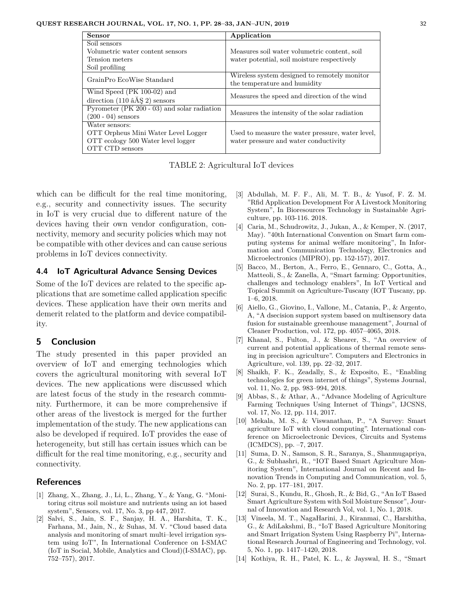| <b>Sensor</b>                               | Application                                                                               |
|---------------------------------------------|-------------------------------------------------------------------------------------------|
| Soil sensors                                |                                                                                           |
| Volumetric water content sensors            | Measures soil water volumetric content, soil                                              |
| Tension meters                              | water potential, soil moisture respectively                                               |
| Soil profiling                              |                                                                                           |
| GrainPro EcoWise Standard                   | Wireless system designed to remotely monitor<br>the temperature and humidity              |
| Wind Speed $(PK 100-02)$ and                | Measures the speed and direction of the wind                                              |
| direction $(110 \text{ âÅS } 2)$ sensors    |                                                                                           |
| Pyrometer (PK 200 - 03) and solar radiation | Measures the intensity of the solar radiation                                             |
| $(200 - 04)$ sensors                        |                                                                                           |
| Water sensors:                              |                                                                                           |
| OTT Orpheus Mini Water Level Logger         | Used to measure the water pressure, water level,<br>water pressure and water conductivity |
| OTT ecology 500 Water level logger          |                                                                                           |
| OTT CTD sensors                             |                                                                                           |

TABLE 2: Agricultural IoT devices

which can be difficult for the real time monitoring, e.g., security and connectivity issues. The security in IoT is very crucial due to different nature of the devices having their own vendor configuration, connectivity, memory and security policies which may not be compatible with other devices and can cause serious problems in IoT devices connectivity.

#### **4.4 IoT Agricultural Advance Sensing Devices**

Some of the IoT devices are related to the specific applications that are sometime called application specific devices. These application have their own merits and demerit related to the platform and device compatibility.

# **5 Conclusion**

The study presented in this paper provided an overview of IoT and emerging technologies which covers the agricultural monitoring with several IoT devices. The new applications were discussed which are latest focus of the study in the research community. Furthermore, it can be more comprehensive if other areas of the livestock is merged for the further implementation of the study. The new applications can also be developed if required. IoT provides the ease of heterogeneity, but still has certain issues which can be difficult for the real time monitoring, e.g., security and connectivity.

## **References**

- [1] Zhang, X., Zhang, J., Li, L., Zhang, Y., & Yang, G. "Monitoring citrus soil moisture and nutrients using an iot based system", Sensors, vol. 17, No. 3, pp 447, 2017.
- [2] Salvi, S., Jain, S. F., Sanjay, H. A., Harshita, T. K., Farhana, M., Jain, N., & Suhas, M. V. "Cloud based data analysis and monitoring of smart multi–level irrigation system using IoT", In International Conference on I-SMAC (IoT in Social, Mobile, Analytics and Cloud)(I-SMAC), pp. 752–757), 2017.
- [3] Abdullah, M. F. F., Ali, M. T. B., & Yusof, F. Z. M. "Rfid Application Development For A Livestock Monitoring System", In Bioresources Technology in Sustainable Agriculture, pp. 103-116. 2018.
- [4] Caria, M., Schudrowitz, J., Jukan, A., & Kemper, N. (2017, May). "40th International Convention on Smart farm computing systems for animal welfare monitoring", In Information and Communication Technology, Electronics and Microelectronics (MIPRO), pp. 152-157), 2017.
- [5] Bacco, M., Berton, A., Ferro, E., Gennaro, C., Gotta, A., Matteoli, S., & Zanella, A, "Smart farming: Opportunities, challenges and technology enablers", In IoT Vertical and Topical Summit on Agriculture-Tuscany (IOT Tuscany, pp. 1–6, 2018.
- [6] Aiello, G., Giovino, I., Vallone, M., Catania, P., & Argento, A, "A dsecision support system based on multisensory data fusion for sustainable greenhouse management", Journal of Cleaner Production, vol. 172, pp. 4057–4065, 2018.
- [7] Khanal, S., Fulton, J., & Shearer, S., "An overview of current and potential applications of thermal remote sensing in precision agriculture". Computers and Electronics in Agriculture, vol. 139, pp. 22–32, 2017.
- [8] Shaikh, F. K., Zeadally, S., & Exposito, E., "Enabling technologies for green internet of things", Systems Journal, vol. 11, No. 2, pp. 983–994, 2018.
- [9] Abbas, S., & Athar, A., "Advance Modeling of Agriculture Farming Techniques Using Internet of Things", IJCSNS, vol. 17, No. 12, pp. 114, 2017.
- [10] Mekala, M. S., & Viswanathan, P., "A Survey: Smart agriculture IoT with cloud computing". International conference on Microelectronic Devices, Circuits and Systems (ICMDCS), pp. –7, 2017.
- [11] Suma, D. N., Samson, S. R., Saranya, S., Shanmugapriya, G., & Subhashri, R., "IOT Based Smart Agriculture Monitoring System", International Journal on Recent and Innovation Trends in Computing and Communication, vol. 5, No. 2, pp. 177–181, 2017.
- [12] Surai, S., Kundu, R., Ghosh, R., & Bid, G., "An IoT Based Smart Agriculture System with Soil Moisture Sensor", Journal of Innovation and Research Vol, vol. 1, No. 1, 2018.
- [13] Vineela, M. T., NagaHarini, J., Kiranmai, C., Harshitha, G., & AdiLakshmi, B., "IoT Based Agriculture Monitoring and Smart Irrigation System Using Raspberry Pi", International Research Journal of Engineering and Technology, vol. 5, No. 1, pp. 1417–1420, 2018.
- [14] Kothiya, R. H., Patel, K. L., & Jayswal, H. S., "Smart